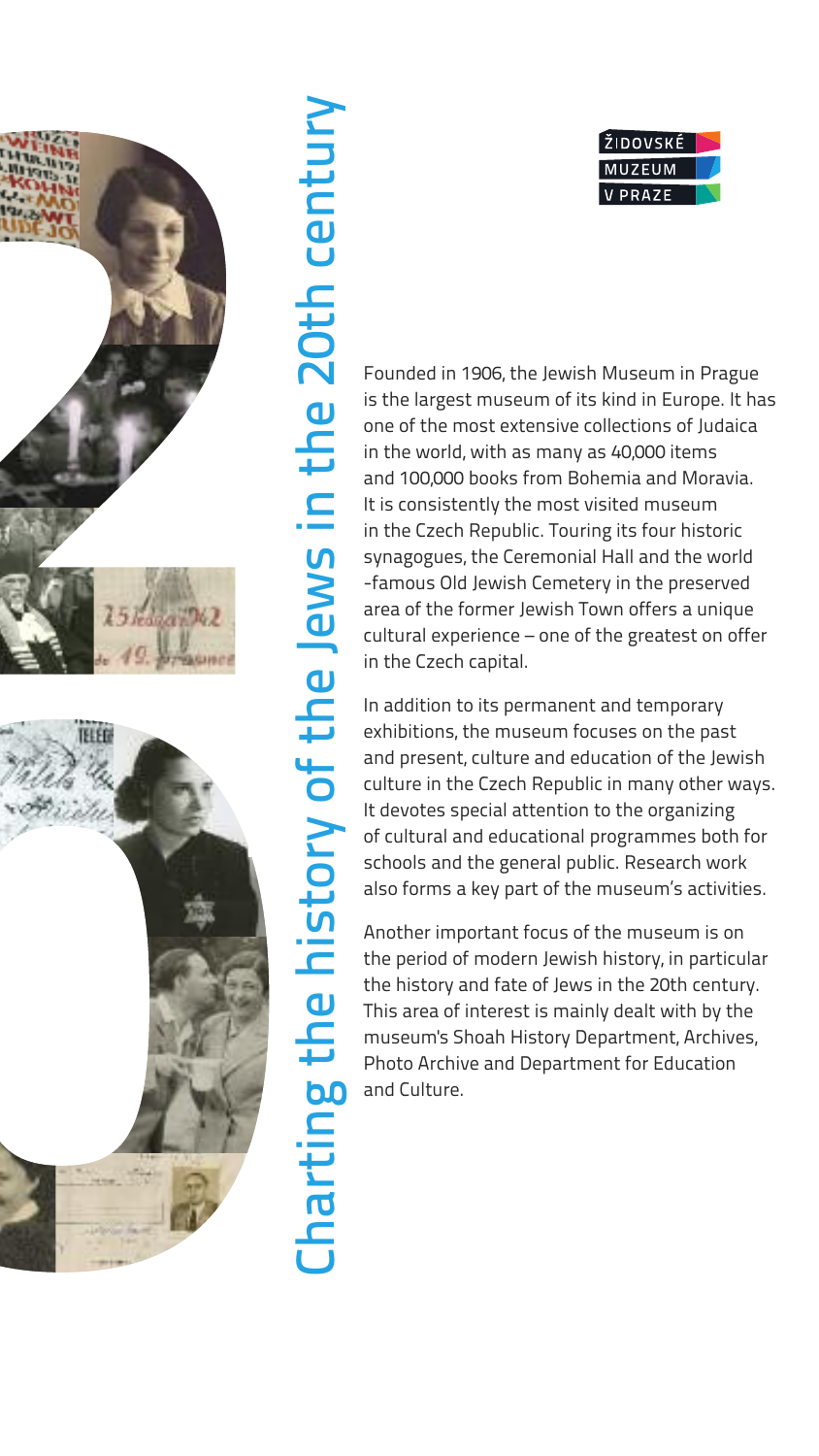

Founded in 1906, the Jewish Museum in Prague is the largest museum of its kind in Europe. It has one of the most extensive collections of Judaica in the world, with as many as 40,000 items and 100,000 books from Bohemia and Moravia. It is consistently the most visited museum in the Czech Republic. Touring its four historic synagogues, the Ceremonial Hall and the world -famous Old Jewish Cemetery in the preserved area of the former Jewish Town offers a unique cultural experience – one of the greatest on offer in the Czech capital.

In addition to its permanent and temporary exhibitions, the museum focuses on the past and present, culture and education of the Jewish culture in the Czech Republic in many other ways. It devotes special attention to the organizing of cultural and educational programmes both for schools and the general public. Research work also forms a key part of the museum's activities.

Another important focus of the museum is on the period of modern Jewish history, in particular the history and fate of Jews in the 20th century. This area of interest is mainly dealt with by the museum's Shoah History Department, Archives, Photo Archive and Department for Education and Culture.

 $\bm{\cup}$ ᅩ **d** r tin

**b0** t 드  $\mathbf \omega$ 

his t o r  $\blacktriangleright$ o 4 t h  $\boldsymbol{\omega}$  $\overline{\phantom{0}}$  $\mathbf \omega$ w

s in

t h  $\boldsymbol{\omega}$  $\boldsymbol{\mathsf{N}}$ 0 ب h  $\mathbf \cup$  $\overline{\mathbf{\omega}}$  $\mathbf 1$ t  $\mathbf{P}$ r  $\blacktriangleright$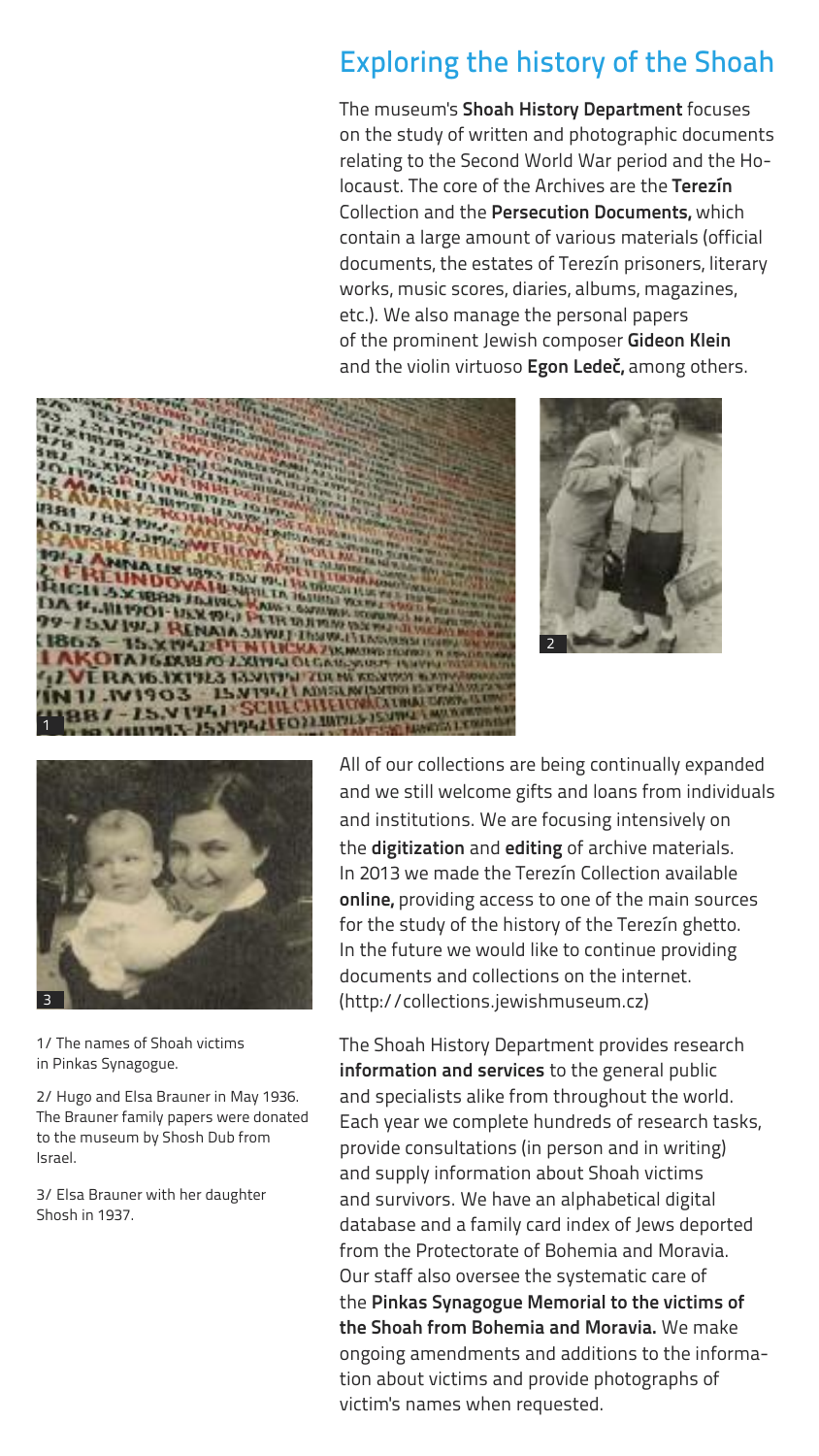# Exploring the history of the Shoah

The museum's **Shoah History Department** focuses on the study of written and photographic documents relating to the Second World War period and the Holocaust. The core of the Archives are the **Terezín** Collection and the **Persecution Documents,** which contain a large amount of various materials (official documents, the estates of Terezín prisoners, literary works, music scores, diaries, albums, magazines, etc.). We also manage the personal papers of the prominent Jewish composer **Gideon Klein** and the violin virtuoso **Egon Ledeč,** among others.







1/ The names of Shoah victims in Pinkas Synagogue.

2/ Hugo and Elsa Brauner in May 1936. The Brauner family papers were donated to the museum by Shosh Dub from Israel.

3/ Elsa Brauner with her daughter Shosh in 1937.

All of our collections are being continually expanded and we still welcome gifts and loans from individuals and institutions. We are focusing intensively on the **digitization** and **editing** of archive materials. In 2013 we made the Terezín Collection available **online,** providing access to one of the main sources for the study of the history of the Terezín ghetto. In the future we would like to continue providing documents and collections on the internet. (http://collections.jewishmuseum.cz)

The Shoah History Department provides research **information and services** to the general public and specialists alike from throughout the world. Each year we complete hundreds of research tasks, provide consultations (in person and in writing) and supply information about Shoah victims and survivors. We have an alphabetical digital database and a family card index of Jews deported from the Protectorate of Bohemia and Moravia. Our staff also oversee the systematic care of the **Pinkas Synagogue Memorial to the victims of the Shoah from Bohemia and Moravia.** We make ongoing amendments and additions to the information about victims and provide photographs of victim's names when requested.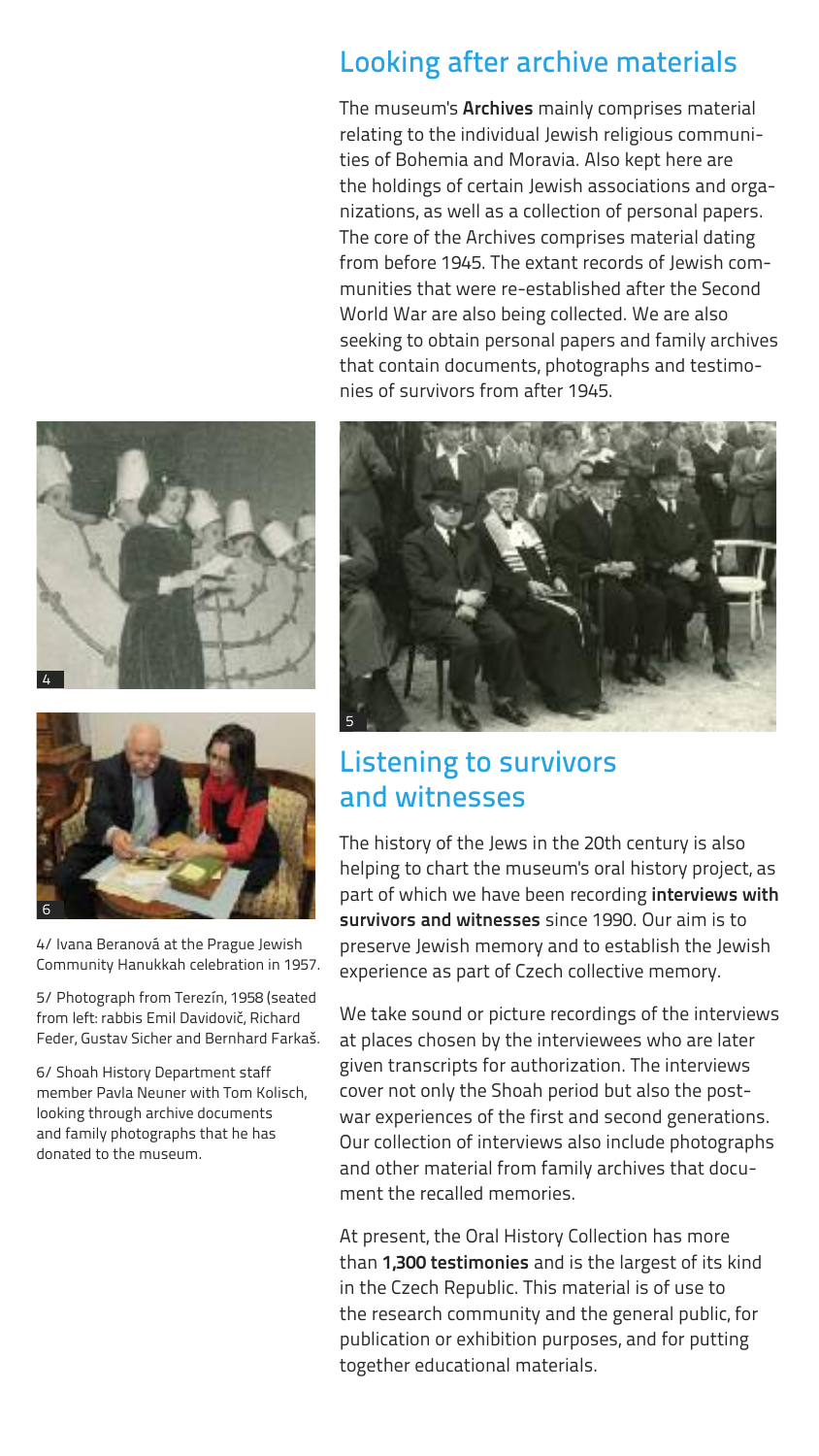#### Looking after archive materials

The museum's **Archives** mainly comprises material relating to the individual Jewish religious communities of Bohemia and Moravia. Also kept here are the holdings of certain Jewish associations and organizations, as well as a collection of personal papers. The core of the Archives comprises material dating from before 1945. The extant records of Jewish communities that were re-established after the Second World War are also being collected. We are also seeking to obtain personal papers and family archives that contain documents, photographs and testimonies of survivors from after 1945.





4/ Ivana Beranová at the Prague Jewish Community Hanukkah celebration in 1957.

5/ Photograph from Terezín, 1958 (seated from left: rabbis Emil Davidovič, Richard Feder, Gustav Sicher and Bernhard Farkaš.

6/ Shoah History Department staff member Pavla Neuner with Tom Kolisch, looking through archive documents and family photographs that he has donated to the museum.



## Listening to survivors and witnesses

The history of the Jews in the 20th century is also helping to chart the museum's oral history project, as part of which we have been recording **interviews with survivors and witnesses** since 1990. Our aim is to preserve Jewish memory and to establish the Jewish experience as part of Czech collective memory.

We take sound or picture recordings of the interviews at places chosen by the interviewees who are later given transcripts for authorization. The interviews cover not only the Shoah period but also the postwar experiences of the first and second generations. Our collection of interviews also include photographs and other material from family archives that document the recalled memories.

At present, the Oral History Collection has more than **1,300 testimonies** and is the largest of its kind in the Czech Republic. This material is of use to the research community and the general public, for publication or exhibition purposes, and for putting together educational materials.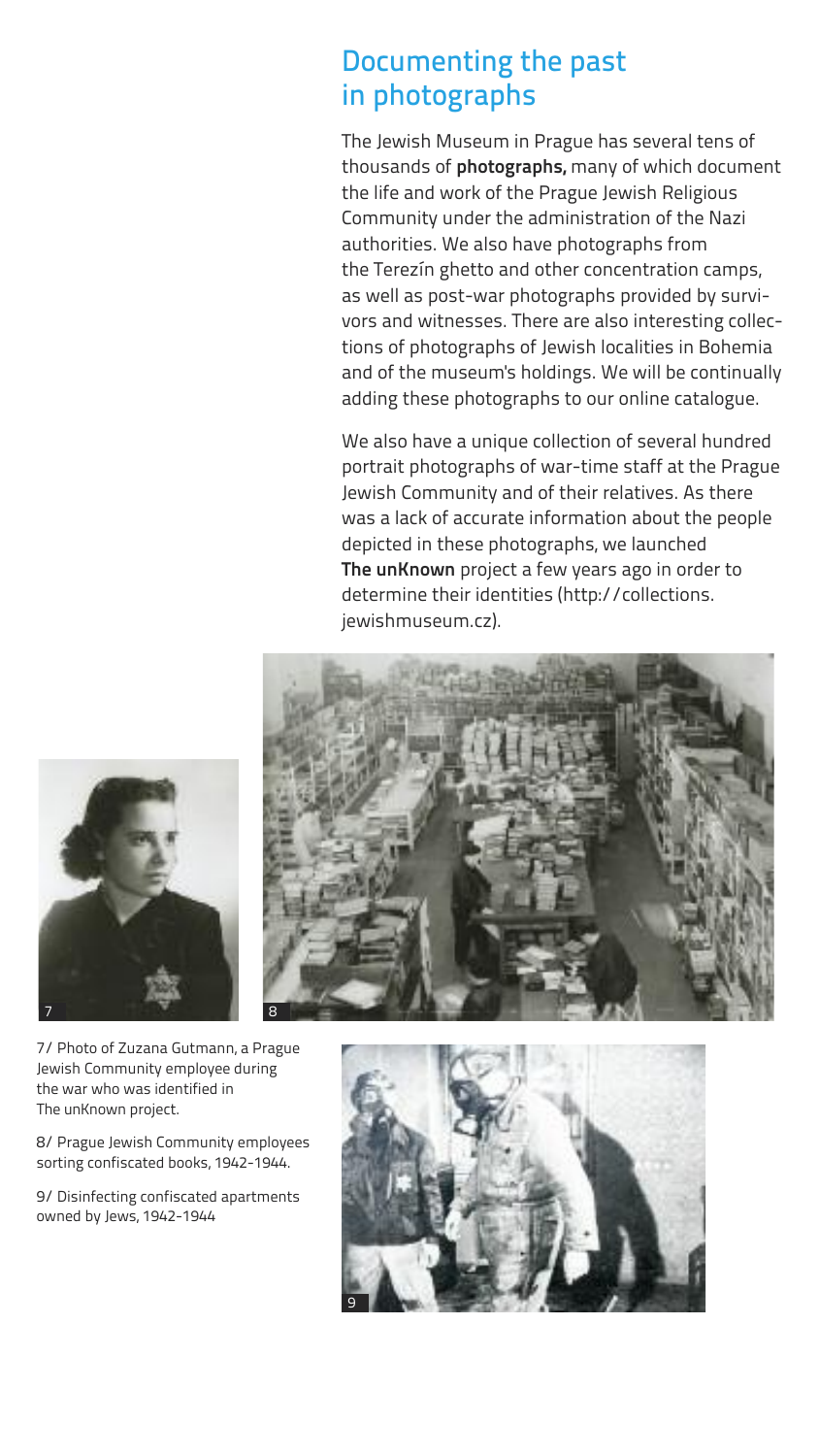## Documenting the past in photographs

The Jewish Museum in Prague has several tens of thousands of **photographs,** many of which document the life and work of the Prague Jewish Religious Community under the administration of the Nazi authorities. We also have photographs from the Terezín ghetto and other concentration camps, as well as post-war photographs provided by survivors and witnesses. There are also interesting collections of photographs of Jewish localities in Bohemia and of the museum's holdings. We will be continually adding these photographs to our online catalogue.

We also have a unique collection of several hundred portrait photographs of war-time staff at the Prague Jewish Community and of their relatives. As there was a lack of accurate information about the people depicted in these photographs, we launched **The unKnown** project a few years ago in order to determine their identities (http://collections. jewishmuseum.cz).





7/ Photo of Zuzana Gutmann, a Prague Jewish Community employee during the war who was identified in The unKnown project.

8/ Prague Jewish Community employees sorting confiscated books, 1942-1944.

9/ Disinfecting confiscated apartments owned by Jews, 1942-1944

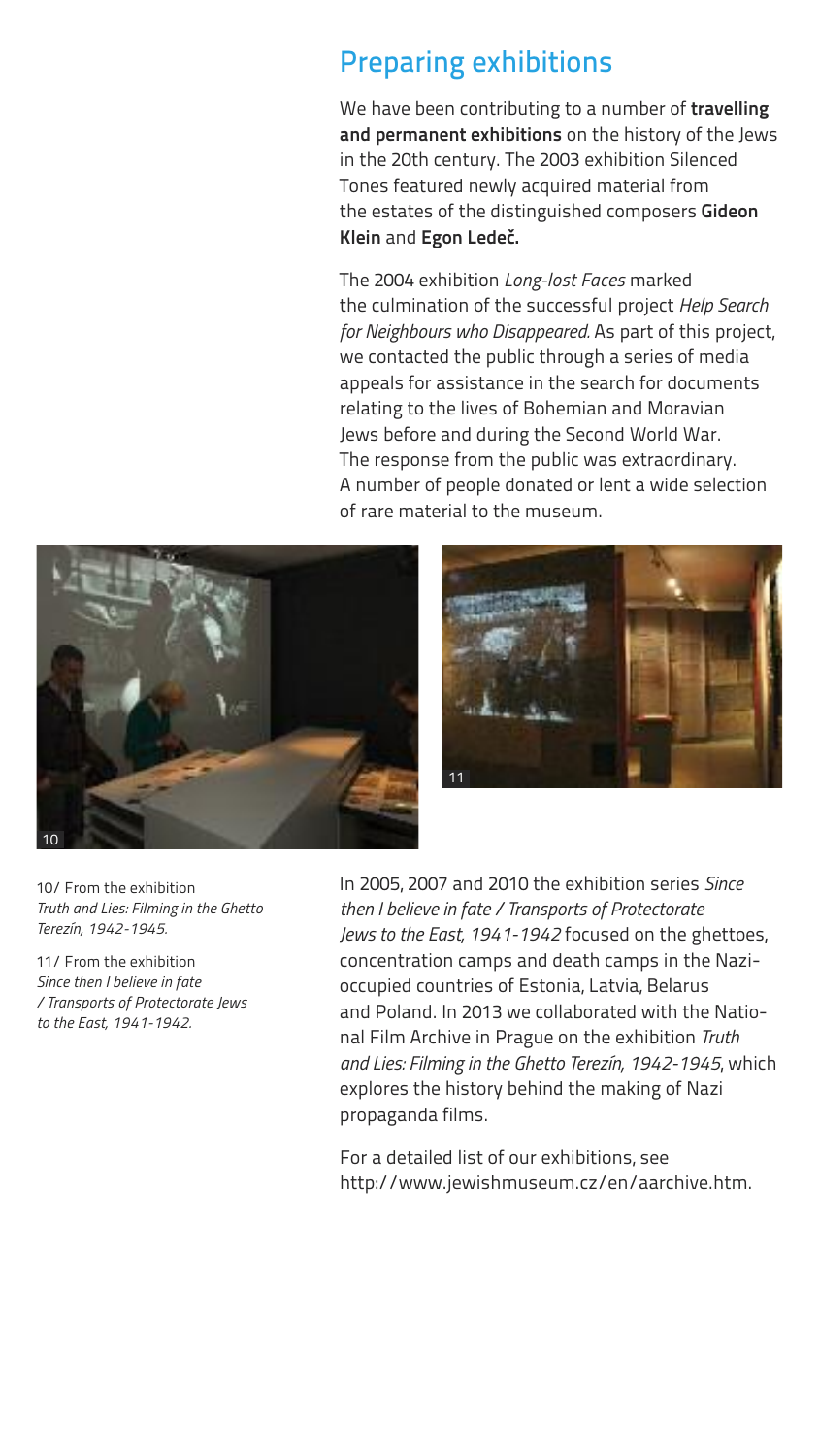## Preparing exhibitions

We have been contributing to a number of **travelling and permanent exhibitions** on the history of the Jews in the 20th century. The 2003 exhibition Silenced Tones featured newly acquired material from the estates of the distinguished composers **Gideon Klein** and **Egon Ledeč.**

The 2004 exhibition *Long-lost Faces* marked the culmination of the successful project *Help Search for Neighbours who Disappeared.* As part of this project, we contacted the public through a series of media appeals for assistance in the search for documents relating to the lives of Bohemian and Moravian Jews before and during the Second World War. The response from the public was extraordinary. A number of people donated or lent a wide selection of rare material to the museum.





10/ From the exhibition *Truth and Lies: Filming in the Ghetto Terezín, 1942-1945.*

11/ From the exhibition *Since then I believe in fate / Transports of Protectorate Jews to the East, 1941-1942.*

In 2005, 2007 and 2010 the exhibition series *Since then I believe in fate / Transports of Protectorate Jews to the East, 1941-1942* focused on the ghettoes, concentration camps and death camps in the Nazioccupied countries of Estonia, Latvia, Belarus and Poland. In 2013 we collaborated with the National Film Archive in Prague on the exhibition *Truth and Lies: Filming in the Ghetto Terezín, 1942-1945*, which explores the history behind the making of Nazi propaganda films.

For a detailed list of our exhibitions, see http://www.jewishmuseum.cz/en/aarchive.htm.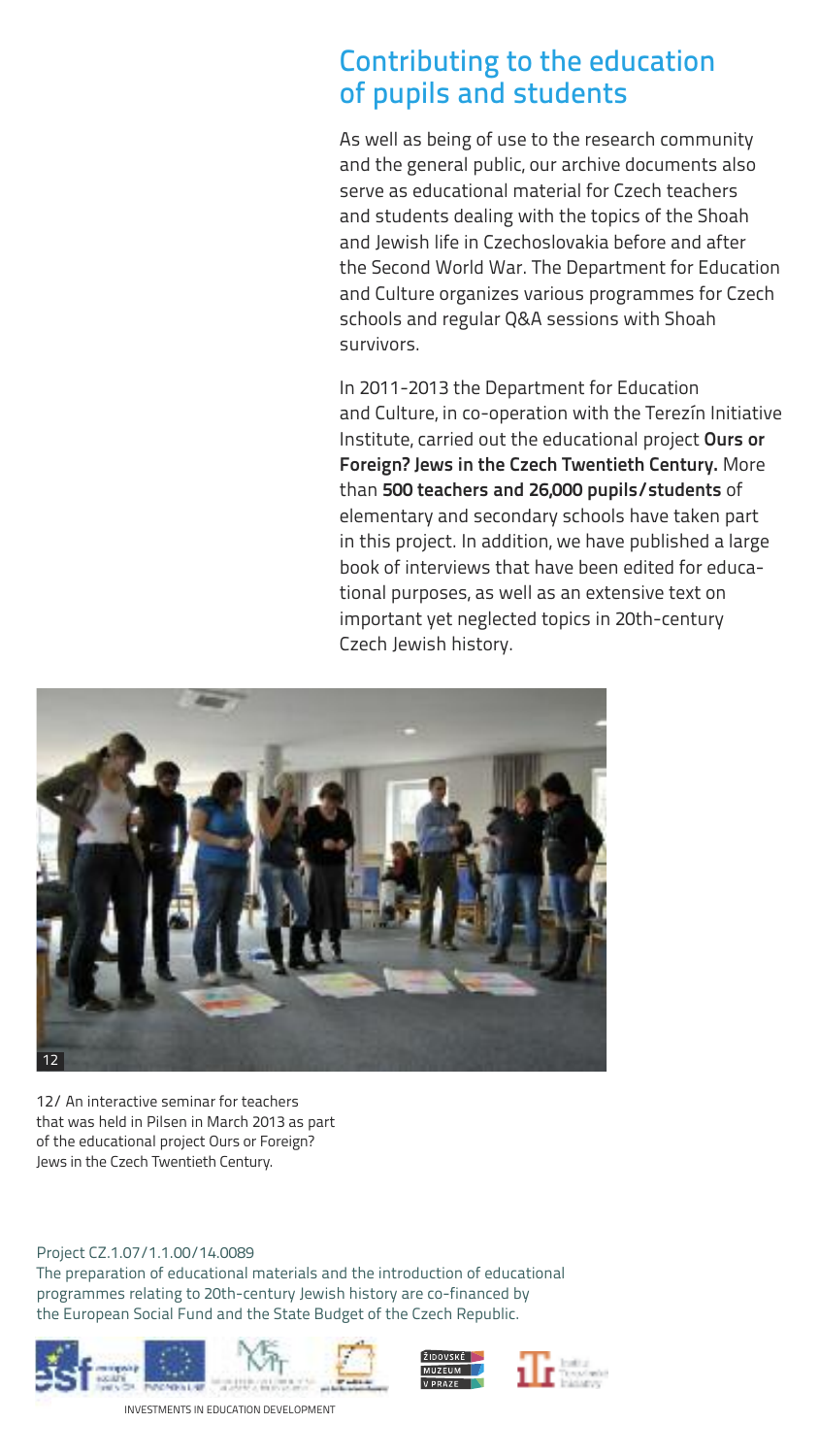#### Contributing to the education of pupils and students

As well as being of use to the research community and the general public, our archive documents also serve as educational material for Czech teachers and students dealing with the topics of the Shoah and Jewish life in Czechoslovakia before and after the Second World War. The Department for Education and Culture organizes various programmes for Czech schools and regular Q&A sessions with Shoah survivors.

In 2011-2013 the Department for Education and Culture, in co-operation with the Terezín Initiative Institute, carried out the educational project **Ours or Foreign? Jews in the Czech Twentieth Century.** More than **500 teachers and 26,000 pupils/students** of elementary and secondary schools have taken part in this project. In addition, we have published a large book of interviews that have been edited for educational purposes, as well as an extensive text on important yet neglected topics in 20th-century Czech Jewish history.



12/ An interactive seminar for teachers that was held in Pilsen in March 2013 as part of the educational project Ours or Foreign? Jews in the Czech Twentieth Century.

#### Project CZ.1.07/1.1.00/14.0089

The preparation of educational materials and the introduction of educational programmes relating to 20th-century Jewish history are co-financed by the European Social Fund and the State Budget of the Czech Republic.







INVESTMENTS IN EDUCATION DEVELOPMENT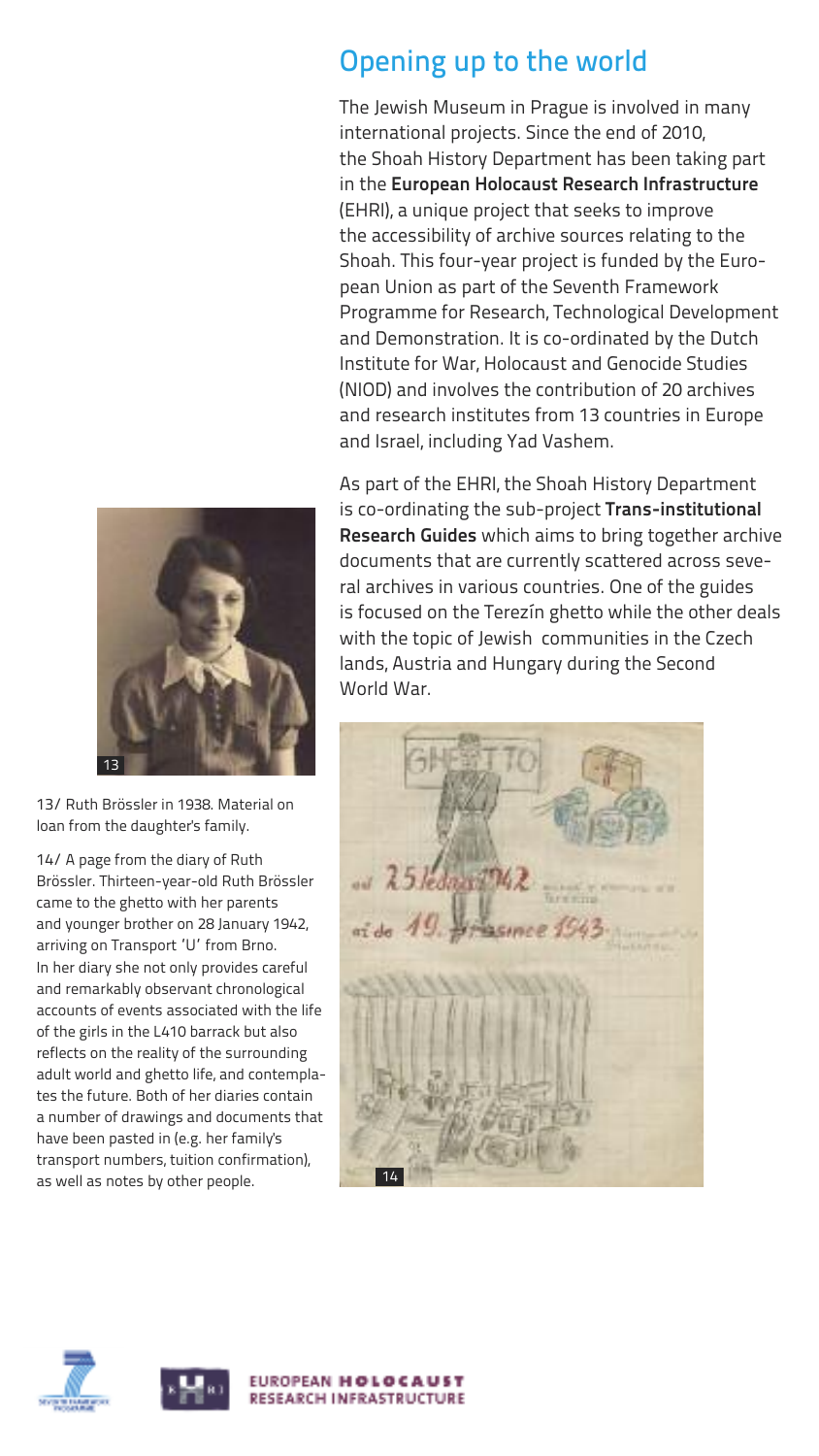# Opening up to the world

The Jewish Museum in Prague is involved in many international projects. Since the end of 2010, the Shoah History Department has been taking part in the **European Holocaust Research Infrastructure** (EHRI), a unique project that seeks to improve the accessibility of archive sources relating to the Shoah. This four-year project is funded by the European Union as part of the Seventh Framework Programme for Research, Technological Development and Demonstration. It is co-ordinated by the Dutch Institute for War, Holocaust and Genocide Studies (NIOD) and involves the contribution of 20 archives and research institutes from 13 countries in Europe and Israel, including Yad Vashem.

As part of the EHRI, the Shoah History Department is co-ordinating the sub-project **Trans-institutional Research Guides** which aims to bring together archive documents that are currently scattered across several archives in various countries. One of the guides is focused on the Terezín ghetto while the other deals with the topic of Jewish communities in the Czech lands, Austria and Hungary during the Second World War.



13/ Ruth Brössler in 1938. Material on loan from the daughter's family.

14/ A page from the diary of Ruth Brössler. Thirteen-year-old Ruth Brössler came to the ghetto with her parents and younger brother on 28 January 1942, arriving on Transport 'U' from Brno. In her diary she not only provides careful and remarkably observant chronological accounts of events associated with the life of the girls in the L410 barrack but also reflects on the reality of the surrounding adult world and ghetto life, and contemplates the future. Both of her diaries contain a number of drawings and documents that have been pasted in (e.g. her family's transport numbers, tuition confirmation), as well as notes by other people.